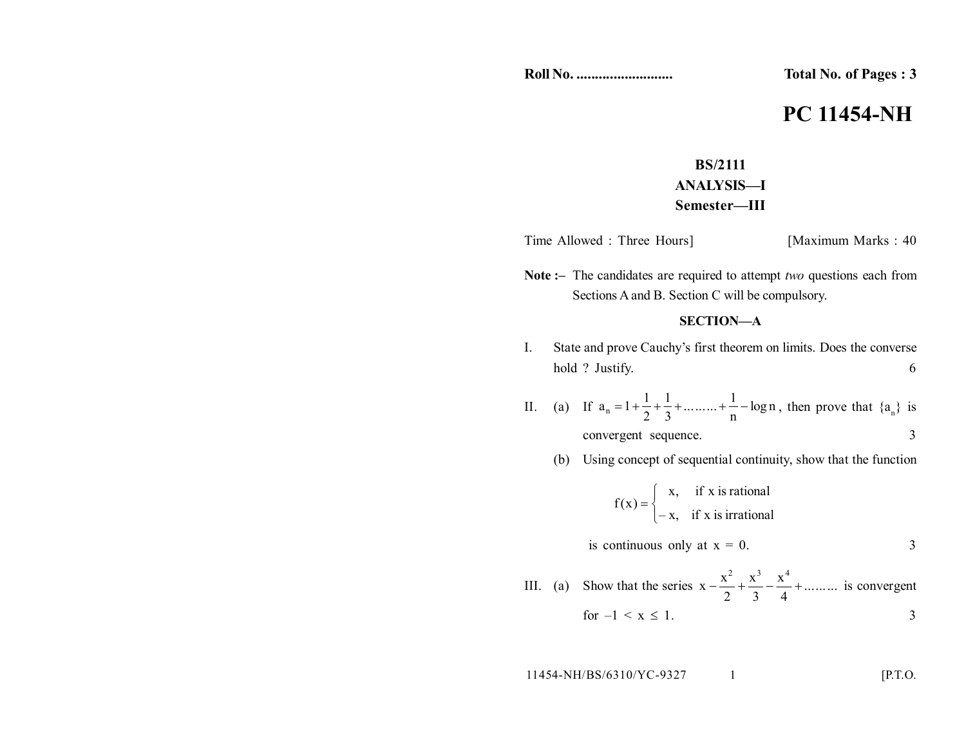**Roll No. .......................... Total No. of Pages : 3**

# **PC 11454-NH**

## **BS/2111 ANALYSIS—I Semester—III**

Time Allowed : Three Hours] [Maximum Marks : 40]

**Note :–** The candidates are required to attempt *two* questions each from Sections A and B. Section C will be compulsory.

### **SECTION—A**

- I. State and prove Cauchy's first theorem on limits. Does the converse hold ? Justify. 6
- II. (a) If  $a_n = 1 + \frac{1}{2} + \frac{1}{3} + \dots + \frac{1}{n} \log n$ .........+<sup>1</sup> 3 1 2  $a_n = 1 + \frac{1}{2} + \frac{1}{3} + \dots + \frac{1}{n} - \log n$ , then prove that  $\{a_n\}$  is convergent sequence. 3

#### (b) Using concept of sequential continuity, show that the function

$$
f(x) = \begin{cases} x, & \text{if } x \text{ is rational} \\ -x, & \text{if } x \text{ is irrational} \end{cases}
$$
  
is continuous only at  $x = 0$ .  
  
III. (a) Show that the series  $x - \frac{x^2}{2} + \frac{x^3}{3} - \frac{x^4}{4} + \dots$  is convergent

$$
for -1 < x \leq 1. \tag{3}
$$

11454-NH/BS/6310/YC-9327 1 [P.T.O.]